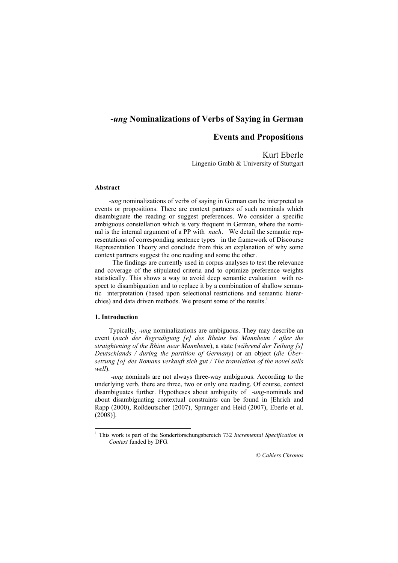# -ung Nominalizations of Verbs of Saying in German

# Events and Propositions

Kurt Eberle Lingenio Gmbh & University of Stuttgart

#### Abstract

-ung nominalizations of verbs of saying in German can be interpreted as events or propositions. There are context partners of such nominals which disambiguate the reading or suggest preferences. We consider a specific ambiguous constellation which is very frequent in German, where the nominal is the internal argument of a PP with *nach*. We detail the semantic representations of corresponding sentence types in the framework of Discourse Representation Theory and conclude from this an explanation of why some context partners suggest the one reading and some the other.

 The findings are currently used in corpus analyses to test the relevance and coverage of the stipulated criteria and to optimize preference weights statistically. This shows a way to avoid deep semantic evaluation with respect to disambiguation and to replace it by a combination of shallow semantic interpretation (based upon selectional restrictions and semantic hierarchies) and data driven methods. We present some of the results.<sup>1</sup>

#### 1. Introduction

Typically, -ung nominalizations are ambiguous. They may describe an event (nach der Begradigung [e] des Rheins bei Mannheim / after the straightening of the Rhine near Mannheim), a state (während der Teilung [s] Deutschlands / during the partition of Germany) or an object (die Übersetzung [o] des Romans verkauft sich gut / The translation of the novel sells  $w$ ell)

 -ung nominals are not always three-way ambiguous. According to the underlying verb, there are three, two or only one reading. Of course, context disambiguates further. Hypotheses about ambiguity of -ung-nominals and about disambiguating contextual constraints can be found in [Ehrich and Rapp (2000), Roßdeutscher (2007), Spranger and Heid (2007), Eberle et al. (2008)].

<sup>&</sup>lt;sup>1</sup> This work is part of the Sonderforschungsbereich 732 *Incremental Specification in* Context funded by DFG.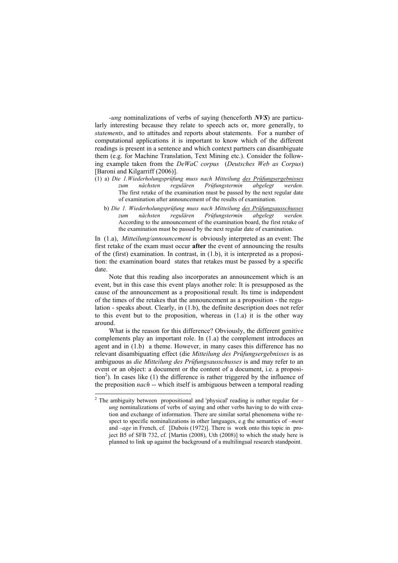-ung nominalizations of verbs of saying (henceforth NVS) are particularly interesting because they relate to speech acts or, more generally, to statements, and to attitudes and reports about statements. For a number of computational applications it is important to know which of the different readings is present in a sentence and which context partners can disambiguate them (e.g. for Machine Translation, Text Mining etc.). Consider the following example taken from the DeWaC corpus (Deutsches Web as Corpus) [Baroni and Kilgarriff (2006)].

- $(1)$  a) Die 1.Wiederholungsprüfung muss nach Mitteilung des Prüfungsergebnisses<br>zum nächsten regulären Prüfungstermin abgelegt werden. zum nächsten regulären Prüfungstermin abgelegt werden. The first retake of the examination must be passed by the next regular date of examination after announcement of the results of examination.
	- b) Die 1. Wiederholungsprüfung muss nach Mitteilung des Prüfungsausschusses zum nächsten regulären Prüfungstermin abgelegt werden. According to the announcement of the examination board, the first retake of the examination must be passed by the next regular date of examination.

In (1.a), *Mitteilung/announcement* is obviously interpreted as an event: The first retake of the exam must occur after the event of announcing the results of the (first) examination. In contrast, in (1.b), it is interpreted as a proposition: the examination board states that retakes must be passed by a specific date.

Note that this reading also incorporates an announcement which is an event, but in this case this event plays another role: It is presupposed as the cause of the announcement as a propositional result. Its time is independent of the times of the retakes that the announcement as a proposition - the regulation - speaks about. Clearly, in (1.b), the definite description does not refer to this event but to the proposition, whereas in (1.a) it is the other way around.

What is the reason for this difference? Obviously, the different genitive complements play an important role. In (1.a) the complement introduces an agent and in (1.b) a theme. However, in many cases this difference has no relevant disambiguating effect (die Mitteilung des Prüfungsergebnisses is as ambiguous as die Mitteilung des Prüfungsausschusses is and may refer to an event or an object: a document or the content of a document, i.e. a proposition<sup>2</sup>). In cases like  $(1)$  the difference is rather triggered by the influence of the preposition nach -- which itself is ambiguous between a temporal reading

<sup>&</sup>lt;sup>2</sup> The ambiguity between propositional and 'physical' reading is rather regular for – ung nominalizations of verbs of saying and other verbs having to do with creation and exchange of information. There are similar sortal phenomena withe respect to specific nominalizations in other languages, e.g the semantics of –*ment* and –age in French, cf. [Dubois (1972)]. There is work onto this topic in project B5 of SFB 732, cf. [Martin (2008), Uth (2008)] to which the study here is planned to link up against the background of a multilingual research standpoint.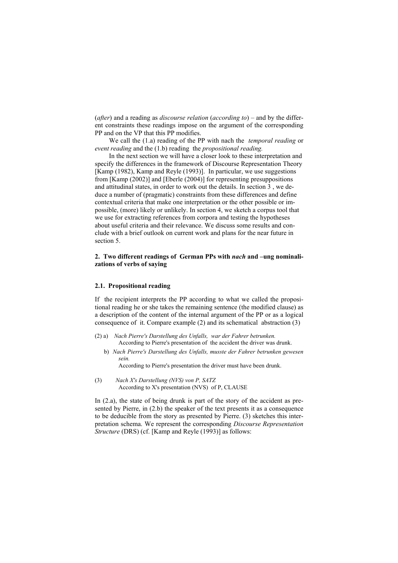(after) and a reading as *discourse relation* (according to) – and by the different constraints these readings impose on the argument of the corresponding PP and on the VP that this PP modifies.

We call the (1.a) reading of the PP with nach the *temporal reading* or event reading and the (1.b) reading the *propositional reading*.

In the next section we will have a closer look to these interpretation and specify the differences in the framework of Discourse Representation Theory [Kamp (1982), Kamp and Reyle (1993)]. In particular, we use suggestions from [Kamp (2002)] and [Eberle (2004)] for representing presuppositions and attitudinal states, in order to work out the details. In section 3 , we deduce a number of (pragmatic) constraints from these differences and define contextual criteria that make one interpretation or the other possible or impossible, (more) likely or unlikely. In section 4, we sketch a corpus tool that we use for extracting references from corpora and testing the hypotheses about useful criteria and their relevance. We discuss some results and conclude with a brief outlook on current work and plans for the near future in section 5.

## 2. Two different readings of German PPs with nach and -ung nominalizations of verbs of saying

#### 2.1. Propositional reading

If the recipient interprets the PP according to what we called the propositional reading he or she takes the remaining sentence (the modified clause) as a description of the content of the internal argument of the PP or as a logical consequence of it. Compare example (2) and its schematical abstraction (3)

- (2) a) Nach Pierre's Darstellung des Unfalls, war der Fahrer betrunken. According to Pierre's presentation of the accident the driver was drunk.
	- b) Nach Pierre's Darstellung des Unfalls, musste der Fahrer betrunken gewesen sein.

According to Pierre's presentation the driver must have been drunk.

(3) Nach X's Darstellung (NVS) von P, SATZ According to X's presentation (NVS) of P, CLAUSE

In (2.a), the state of being drunk is part of the story of the accident as presented by Pierre, in (2.b) the speaker of the text presents it as a consequence to be deducible from the story as presented by Pierre. (3) sketches this interpretation schema. We represent the corresponding Discourse Representation Structure (DRS) (cf. [Kamp and Reyle (1993)] as follows: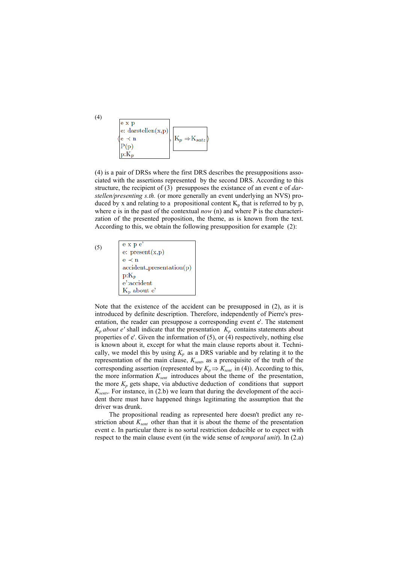e x p  $e:$  darstellen $(x,p)$  $K_n \Rightarrow K_{satz}$  $P(p)$  $p:K_i$ 

(4) is a pair of DRSs where the first DRS describes the presuppositions associated with the assertions represented by the second DRS. According to this structure, the recipient of (3) presupposes the existance of an event e of *dar*stellen/presenting s.th. (or more generally an event underlying an NVS) produced by x and relating to a propositional content  $K_p$  that is referred to by p, where e is in the past of the contextual *now* (n) and where P is the characterization of the presented proposition, the theme, as is known from the text. According to this, we obtain the following presupposition for example (2):

(5)

| e x p e'                                   |
|--------------------------------------------|
| e: $present(x,p)$                          |
| $e \prec n$                                |
| $\operatorname{accident\_presentation(p)}$ |
| $p:K_p$                                    |
| e':accident                                |
| $K_n$ about $e'$                           |

Note that the existence of the accident can be presupposed in (2), as it is introduced by definite description. Therefore, independently of Pierre's presentation, the reader can presuppose a corresponding event e'. The statement  $K_p$  about e' shall indicate that the presentation  $K_p$  contains statements about properties of e'. Given the information of (5), or (4) respectively, nothing else is known about it, except for what the main clause reports about it. Technically, we model this by using  $K_p$  as a DRS variable and by relating it to the representation of the main clause,  $K_{sent}$ , as a prerequisite of the truth of the corresponding assertion (represented by  $K_p \Rightarrow K_{sent}$  in (4)). According to this, the more information  $K_{sent}$  introduces about the theme of the presentation, the more  $K_p$  gets shape, via abductive deduction of conditions that support  $K_{sent}$ . For instance, in (2.b) we learn that during the development of the accident there must have happened things legitimating the assumption that the driver was drunk.

The propositional reading as represented here doesn't predict any restriction about  $K_{sent}$  other than that it is about the theme of the presentation event e. In particular there is no sortal restriction deducible or to expect with respect to the main clause event (in the wide sense of temporal unit). In (2.a)

(4)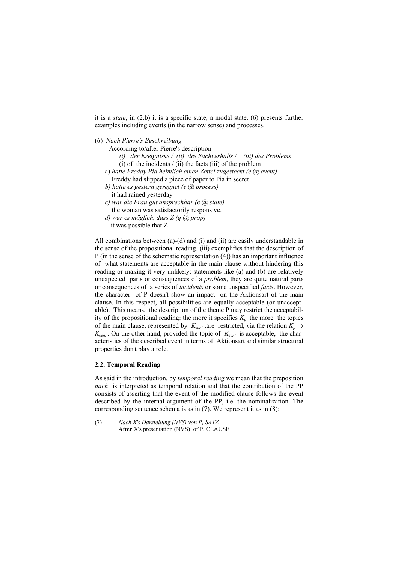it is a state, in (2.b) it is a specific state, a modal state. (6) presents further examples including events (in the narrow sense) and processes.

(6) Nach Pierre's Beschreibung

- According to/after Pierre's description
	- (i) der Ereignisse / (ii) des Sachverhalts / (iii) des Problems (i) of the incidents  $/$  (ii) the facts (iii) of the problem
- a) hatte Freddy Pia heimlich einen Zettel zugesteckt (e @ event) Freddy had slipped a piece of paper to Pia in secret
- b) hatte es gestern geregnet (e $(a)$  process) it had rained yesterday
- c) war die Frau gut ansprechbar (e @ state) the woman was satisfactorily responsive.
- $d$ ) war es möglich, dass Z ( $a$   $(a)$  prop) it was possible that Z

All combinations between (a)-(d) and (i) and (ii) are easily understandable in the sense of the propositional reading. (iii) exemplifies that the description of P (in the sense of the schematic representation (4)) has an important influence of what statements are acceptable in the main clause without hindering this reading or making it very unlikely: statements like (a) and (b) are relatively unexpected parts or consequences of a problem, they are quite natural parts or consequences of a series of incidents or some unspecified facts. However, the character of P doesn't show an impact on the Aktionsart of the main clause. In this respect, all possibilities are equally acceptable (or unacceptable). This means, the description of the theme P may restrict the acceptability of the propositional reading: the more it specifies  $K_p$  the more the topics of the main clause, represented by  $K_{sent}$ , are restricted, via the relation  $K_n \Rightarrow$  $K_{sent}$ . On the other hand, provided the topic of  $K_{sent}$  is acceptable, the characteristics of the described event in terms of Aktionsart and similar structural properties don't play a role.

#### 2.2. Temporal Reading

As said in the introduction, by temporal reading we mean that the preposition nach is interpreted as temporal relation and that the contribution of the PP consists of asserting that the event of the modified clause follows the event described by the internal argument of the PP, i.e. the nominalization. The corresponding sentence schema is as in (7). We represent it as in (8):

(7) Nach X's Darstellung (NVS) von P, SATZ After X's presentation (NVS) of P, CLAUSE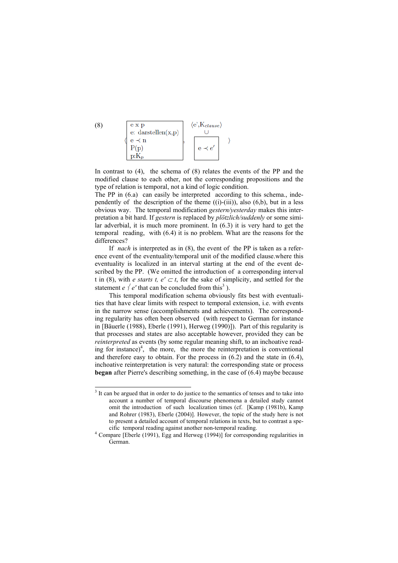

In contrast to  $(4)$ , the schema of  $(8)$  relates the events of the PP and the modified clause to each other, not the corresponding propositions and the type of relation is temporal, not a kind of logic condition.

The PP in  $(6.a)$  can easily be interpreted according to this schema., independently of the description of the theme  $((i)-(iii))$ , also  $(6,b)$ , but in a less obvious way. The temporal modification gestern/yesterday makes this interpretation a bit hard. If gestern is replaced by plötzlich/suddenly or some similar adverbial, it is much more prominent. In (6.3) it is very hard to get the temporal reading, with (6.4) it is no problem. What are the reasons for the differences?

If nach is interpreted as in (8), the event of the PP is taken as a reference event of the eventuality/temporal unit of the modified clause.where this eventuality is localized in an interval starting at the end of the event described by the PP. (We omitted the introduction of a corresponding interval t in (8), with *e starts t, e'*  $\subset$  *t*, for the sake of simplicity, and settled for the statement *e*  $\frac{1}{2}$  *e'* that can be concluded from this<sup>3</sup>).

This temporal modification schema obviously fits best with eventualities that have clear limits with respect to temporal extension, i.e. with events in the narrow sense (accomplishments and achievements). The corresponding regularity has often been observed (with respect to German for instance in [Bäuerle (1988), Eberle (1991), Herweg (1990)]). Part of this regularity is that processes and states are also acceptable however, provided they can be reinterpreted as events (by some regular meaning shift, to an inchoative reading for instance) $\frac{4}{1}$ , the more, the more the reinterpretation is conventional and therefore easy to obtain. For the process in (6.2) and the state in (6.4), inchoative reinterpretation is very natural: the corresponding state or process began after Pierre's describing something, in the case of (6.4) maybe because

(8)

 $\overline{a}$ 

<sup>&</sup>lt;sup>3</sup> It can be argued that in order to do justice to the semantics of tenses and to take into account a number of temporal discourse phenomena a detailed study cannot omit the introduction of such localization times (cf. [Kamp (1981b), Kamp and Rohrer (1983), Eberle (2004)]. However, the topic of the study here is not to present a detailed account of temporal relations in texts, but to contrast a specific temporal reading against another non-temporal reading.

<sup>4</sup> Compare [Eberle (1991), Egg and Herweg (1994)] for corresponding regularities in German.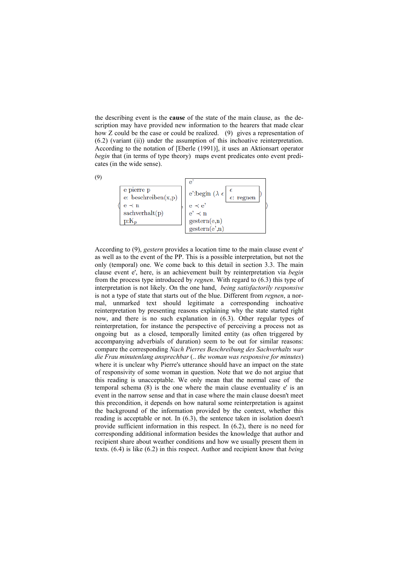the describing event is the cause of the state of the main clause, as the description may have provided new information to the hearers that made clear how Z could be the case or could be realized. (9) gives a representation of (6.2) (variant (ii)) under the assumption of this inchoative reinterpretation. According to the notation of [Eberle (1991)], it uses an Aktionsart operator begin that (in terms of type theory) maps event predicates onto event predicates (in the wide sense).



According to (9), gestern provides a location time to the main clause event e' as well as to the event of the PP. This is a possible interpretation, but not the only (temporal) one. We come back to this detail in section 3.3. The main clause event e', here, is an achievement built by reinterpretation via begin from the process type introduced by regnen. With regard to (6.3) this type of interpretation is not likely. On the one hand, being satisfactorily responsive is not a type of state that starts out of the blue. Different from regnen, a normal, unmarked text should legitimate a corresponding inchoative reinterpretation by presenting reasons explaining why the state started right now, and there is no such explanation in (6.3). Other regular types of reinterpretation, for instance the perspective of perceiving a process not as ongoing but as a closed, temporally limited entity (as often triggered by accompanying adverbials of duration) seem to be out for similar reasons: compare the corresponding Nach Pierres Beschreibung des Sachverhalts war die Frau minutenlang ansprechbar (.. the woman was responsive for minutes) where it is unclear why Pierre's utterance should have an impact on the state of responsivity of some woman in question. Note that we do not argiue that this reading is unacceptable. We only mean that the normal case of the temporal schema (8) is the one where the main clause eventuality e' is an event in the narrow sense and that in case where the main clause doesn't meet this precondition, it depends on how natural some reinterpretation is against the background of the information provided by the context, whether this reading is acceptable or not. In (6.3), the sentence taken in isolation doesn't provide sufficient information in this respect. In (6.2), there is no need for corresponding additional information besides the knowledge that author and recipient share about weather conditions and how we usually present them in texts. (6.4) is like (6.2) in this respect. Author and recipient know that being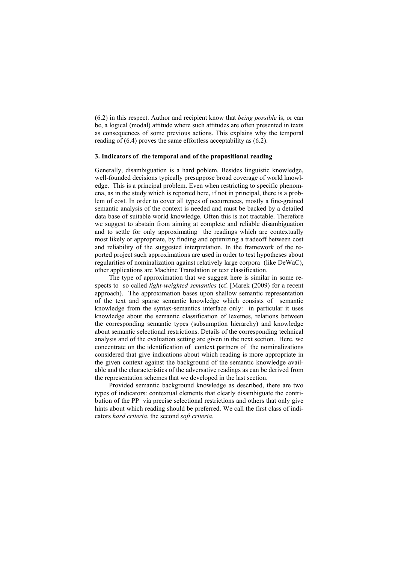(6.2) in this respect. Author and recipient know that being possible is, or can be, a logical (modal) attitude where such attitudes are often presented in texts as consequences of some previous actions. This explains why the temporal reading of (6.4) proves the same effortless acceptability as (6.2).

#### 3. Indicators of the temporal and of the propositional reading

Generally, disambiguation is a hard poblem. Besides linguistic knowledge, well-founded decisions typically presuppose broad coverage of world knowledge. This is a principal problem. Even when restricting to specific phenomena, as in the study which is reported here, if not in principal, there is a problem of cost. In order to cover all types of occurrences, mostly a fine-grained semantic analysis of the context is needed and must be backed by a detailed data base of suitable world knowledge. Often this is not tractable. Therefore we suggest to abstain from aiming at complete and reliable disambiguation and to settle for only approximating the readings which are contextually most likely or appropriate, by finding and optimizing a tradeoff between cost and reliability of the suggested interpretation. In the framework of the reported project such approximations are used in order to test hypotheses about regularities of nominalization against relatively large corpora (like DeWaC), other applications are Machine Translation or text classification.

The type of approximation that we suggest here is similar in some respects to so called light-weighted semantics (cf. [Marek (2009) for a recent approach). The approximation bases upon shallow semantic representation of the text and sparse semantic knowledge which consists of semantic knowledge from the syntax-semantics interface only: in particular it uses knowledge about the semantic classification of lexemes, relations between the corresponding semantic types (subsumption hierarchy) and knowledge about semantic selectional restrictions. Details of the corresponding technical analysis and of the evaluation setting are given in the next section. Here, we concentrate on the identification of context partners of the nominalizations considered that give indications about which reading is more appropriate in the given context against the background of the semantic knowledge available and the characteristics of the adversative readings as can be derived from the representation schemes that we developed in the last section.

Provided semantic background knowledge as described, there are two types of indicators: contextual elements that clearly disambiguate the contribution of the PP via precise selectional restrictions and others that only give hints about which reading should be preferred. We call the first class of indicators hard criteria, the second soft criteria.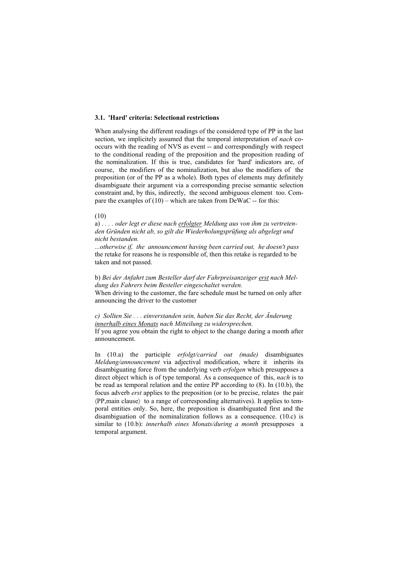#### 3.1. 'Hard' criteria: Selectional restrictions

When analysing the different readings of the considered type of PP in the last section, we implicitely assumed that the temporal interpretation of *nach* cooccurs with the reading of NVS as event -- and correspondingly with respect to the conditional reading of the preposition and the proposition reading of the nominalization. If this is true, candidates for 'hard' indicators are, of course, the modifiers of the nominalization, but also the modifiers of the preposition (or of the PP as a whole). Both types of elements may definitely disambiguate their argument via a corresponding precise semantic selection constraint and, by this, indirectly, the second ambiguous element too. Compare the examples of  $(10)$  – which are taken from DeWaC -- for this:

## (10)

a) . . . . oder legt er diese nach erfolgter Meldung aus von ihm zu vertretenden Gründen nicht ab, so gilt die Wiederholungsprüfung als abgelegt und nicht bestanden.

...otherwise if, the announcement having been carried out, he doesn't pass the retake for reasons he is responsible of, then this retake is regarded to be taken and not passed.

b) Bei der Anfahrt zum Besteller darf der Fahrpreisanzeiger erst nach Meldung des Fahrers beim Besteller eingeschaltet werden. When driving to the customer, the fare schedule must be turned on only after announcing the driver to the customer

c) Sollten Sie . . . einverstanden sein, haben Sie das Recht, der Änderung innerhalb eines Monats nach Mitteilung zu widersprechen. If you agree you obtain the right to object to the change during a month after announcement.

In (10.a) the participle erfolgt/carried out (made) disambiguates Meldung/announcement via adjectival modification, where it inherits its disambiguating force from the underlying verb erfolgen which presupposes a direct object which is of type temporal. As a consequence of this, *nach* is to be read as temporal relation and the entire PP according to (8). In (10.b), the focus adverb erst applies to the preposition (or to be precise, relates the pair 〈PP,main clause〉 to a range of corresponding alternatives). It applies to temporal entities only. So, here, the preposition is disambiguated first and the disambiguation of the nominalization follows as a consequence. (10.c) is similar to (10.b): *innerhalb eines Monats/during a month* presupposes a temporal argument.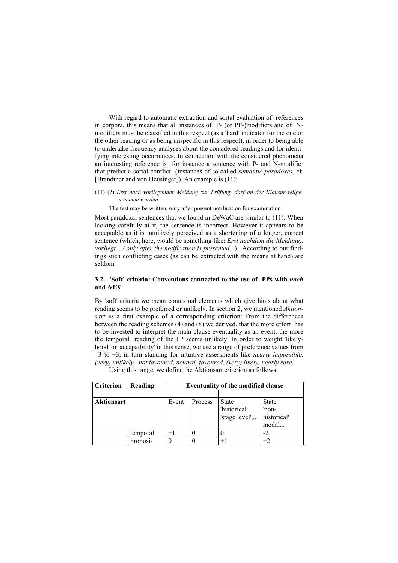With regard to automatic extraction and sortal evaluation of references in corpora, this means that all instances of P- (or PP-)modifiers and of Nmodifiers must be classified in this respect (as a 'hard' indicator for the one or the other reading or as being unspecific in this respect), in order to being able to undertake frequency analyses about the considered readings and for identifying interesting occurrences. In connection with the considered phenomena an interesting reference is for instance a sentence with P- and N-modifier that predict a sortal conflict (instances of so called semantic paradoxes, cf. [Brandtner and von Heusinger]). An example is (11):

#### (11) (?) Erst nach vorliegender Meldung zur Prüfung, darf an der Klausur teilgenommen werden

The test may be written, only after present notification for examination

Most paradoxal sentences that we found in DeWaC are similar to (11): When looking carefully at it, the sentence is incorrect. However it appears to be acceptable as it is intuitively perceived as a shortening of a longer, correct sentence (which, here, would be something like: Erst nachdem die Meldung.. vorliegt... / only after the notification is presented...). According to our findings such conflicting cases (as can be extracted with the means at hand) are seldom.

#### 3.2. 'Soft' criteria: Conventions connected to the use of PPs with nach and NVS

By 'soft' criteria we mean contextual elements which give hints about what reading seems to be preferred or unlikely. In section 2, we mentioned Aktionsart as a first example of a corresponding criterion: From the differences between the reading schemes (4) and (8) we derived. that the more effort has to be invested to interpret the main clause eventuality as an event, the more the temporal reading of the PP seems unlikely. In order to weight 'likelyhood' or 'accepatbility' in this sense, we use a range of preference values from  $-3$  to  $+3$ , in turn standing for intuitive assessments like *nearly impossible*, (very) unlikely, not favoured, neutral, favoured, (very) likely, nearly sure.

Criterion Reading Eventuality of the modified clause Aktionsart Event Process State 'historical' 'stage level',.. State 'nonhistorical' modal... temporal  $+1$  0 0  $-2$ proposi-  $\begin{vmatrix} 0 & 0 \\ 0 & +1 \end{vmatrix}$  +2

Using this range, we define the Aktionsart criterion as follows: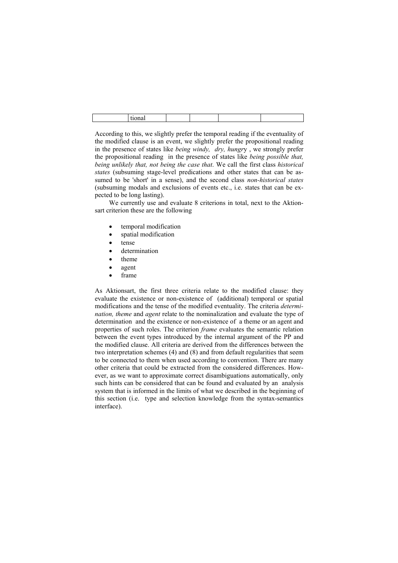According to this, we slightly prefer the temporal reading if the eventuality of the modified clause is an event, we slightly prefer the propositional reading in the presence of states like being windy, dry, hungry , we strongly prefer the propositional reading in the presence of states like being possible that, being unlikely that, not being the case that. We call the first class historical states (subsuming stage-level predications and other states that can be assumed to be 'short' in a sense), and the second class *non-historical states* (subsuming modals and exclusions of events etc., i.e. states that can be expected to be long lasting).

We currently use and evaluate 8 criterions in total, next to the Aktionsart criterion these are the following

- temporal modification
- spatial modification
- tense
- determination
- theme
- agent
- frame

As Aktionsart, the first three criteria relate to the modified clause: they evaluate the existence or non-existence of (additional) temporal or spatial modifications and the tense of the modified eventuality. The criteria determination, theme and agent relate to the nominalization and evaluate the type of determination and the existence or non-existence of a theme or an agent and properties of such roles. The criterion frame evaluates the semantic relation between the event types introduced by the internal argument of the PP and the modified clause. All criteria are derived from the differences between the two interpretation schemes (4) and (8) and from default regularities that seem to be connected to them when used according to convention. There are many other criteria that could be extracted from the considered differences. However, as we want to approximate correct disambiguations automatically, only such hints can be considered that can be found and evaluated by an analysis system that is informed in the limits of what we described in the beginning of this section (i.e. type and selection knowledge from the syntax-semantics interface).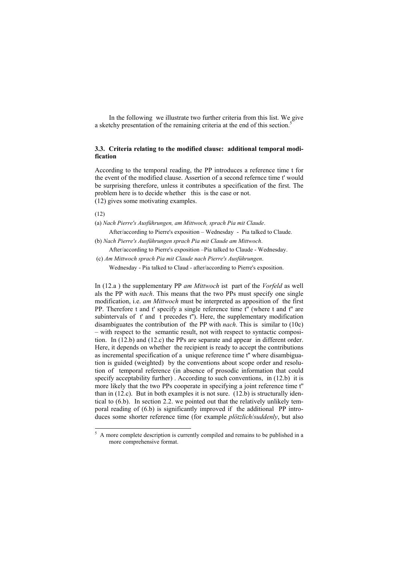In the following we illustrate two further criteria from this list. We give a sketchy presentation of the remaining criteria at the end of this section.<sup>5</sup>

## 3.3. Criteria relating to the modified clause: additional temporal modification

According to the temporal reading, the PP introduces a reference time t for the event of the modified clause. Assertion of a second refernce time t' would be surprising therefore, unless it contributes a specification of the first. The problem here is to decide whether this is the case or not. (12) gives some motivating examples.

(12)

(a) Nach Pierre's Ausführungen, am Mittwoch, sprach Pia mit Claude.

After/according to Pierre's exposition – Wednesday - Pia talked to Claude.

(b) Nach Pierre's Ausführungen sprach Pia mit Claude am Mittwoch.

After/according to Pierre's exposition –Pia talked to Claude - Wednesday.

 (c) Am Mittwoch sprach Pia mit Claude nach Pierre's Ausführungen. Wednesday - Pia talked to Claud - after/according to Pierre's exposition.

In (12.a ) the supplementary PP am Mittwoch ist part of the Vorfeld as well als the PP with nach. This means that the two PPs must specify one single modification, i.e. am Mittwoch must be interpreted as apposition of the first PP. Therefore t and t' specify a single reference time t'' (where t and t'' are subintervals of t' and t precedes t''). Here, the supplementary modification disambiguates the contribution of the PP with *nach*. This is similar to (10c) – with respect to the semantic result, not with respect to syntactic composition. In (12.b) and (12.c) the PPs are separate and appear in different order. Here, it depends on whether the recipient is ready to accept the contributions as incremental specification of a unique reference time t'' where disambiguation is guided (weighted) by the conventions about scope order and resolution of temporal reference (in absence of prosodic information that could specify acceptability further). According to such conventions, in (12.b) it is more likely that the two PPs cooperate in specifying a joint reference time t'' than in (12.c). But in both examples it is not sure. (12.b) is structurally identical to (6.b). In section 2.2. we pointed out that the relatively unlikely temporal reading of (6.b) is significantly improved if the additional PP introduces some shorter reference time (for example plötzlich/suddenly, but also

<sup>&</sup>lt;sup>5</sup> A more complete description is currently compiled and remains to be published in a more comprehensive format.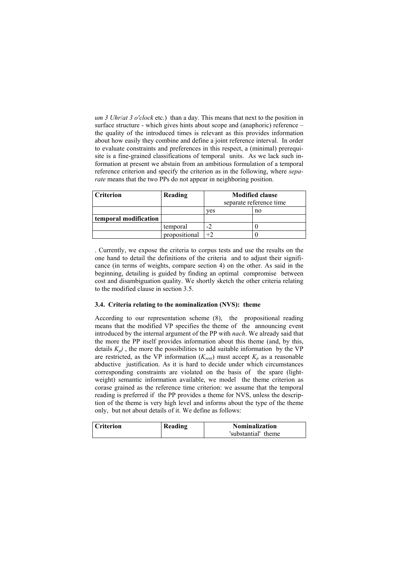um 3 Uhr/at 3 o'clock etc.) than a day. This means that next to the position in surface structure - which gives hints about scope and (anaphoric) reference – the quality of the introduced times is relevant as this provides information about how easily they combine and define a joint reference interval. In order to evaluate constraints and preferences in this respect, a (minimal) prerequisite is a fine-grained classifications of temporal units. As we lack such information at present we abstain from an ambitious formulation of a temporal reference criterion and specify the criterion as in the following, where separate means that the two PPs do not appear in neighboring position.

| <b>Criterion</b>      | Reading       | <b>Modified clause</b><br>separate reference time |    |
|-----------------------|---------------|---------------------------------------------------|----|
|                       |               | ves                                               | no |
| temporal modification |               |                                                   |    |
|                       | temporal      |                                                   |    |
|                       | propositional |                                                   |    |

. Currently, we expose the criteria to corpus tests and use the results on the one hand to detail the definitions of the criteria and to adjust their significance (in terms of weights, compare section 4) on the other. As said in the beginning, detailing is guided by finding an optimal compromise between cost and disambiguation quality. We shortly sketch the other criteria relating to the modified clause in section 3.5.

## 3.4. Criteria relating to the nominalization (NVS): theme

According to our representation scheme (8), the propositional reading means that the modified VP specifies the theme of the announcing event introduced by the internal argument of the PP with nach. We already said that the more the PP itself provides information about this theme (and, by this, details  $K_p$ ), the more the possibilities to add suitable information by the VP are restricted, as the VP information  $(K_{sent})$  must accept  $K_p$  as a reasonable abductive justification. As it is hard to decide under which circumstances corresponding constraints are violated on the basis of the spare (lightweight) semantic information available, we model the theme criterion as corase grained as the reference time criterion: we assume that the temporal reading is preferred if the PP provides a theme for NVS, unless the description of the theme is very high level and informs about the type of the theme only, but not about details of it. We define as follows:

| Criterion | Reading | <b>Nominalization</b> |
|-----------|---------|-----------------------|
|           |         | 'substantial' theme   |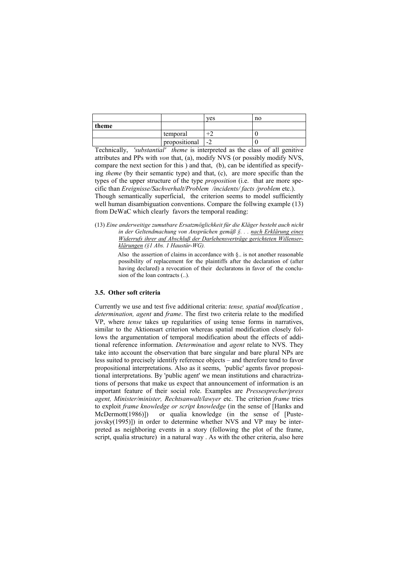|       |               | yes  | no |
|-------|---------------|------|----|
| theme |               |      |    |
|       | temporal      | ∸    |    |
|       | propositional | $-2$ |    |

Technically, 'substantial' theme is interpreted as the class of all genitive attributes and PPs with von that, (a), modify NVS (or possibly modify NVS, compare the next section for this ) and that, (b), can be identified as specifying theme (by their semantic type) and that, (c), are more specific than the types of the upper structure of the type proposition (i.e. that are more specific than Ereignisse/Sachverhalt/Problem /incidents/ facts /problem etc.). Though semantically superficial, the criterion seems to model sufficiently well human disambiguation conventions. Compare the follwing example (13) from DeWaC which clearly favors the temporal reading:

(13) Eine anderweitige zumutbare Ersatzmöglichkeit für die Kläger besteht auch nicht in der Geltendmachung von Ansprüchen gemäß §. . . nach Erklärung eines Widerrufs ihrer auf Abschluß der Darlehensverträge gerichteten Willenserklärungen (§1 Abs. 1 Haustür-WG).

> Also the assertion of claims in accordance with §.. is not another reasonable possibility of replacement for the plaintiffs after the declaration of (after having declared) a revocation of their declaratons in favor of the conclusion of the loan contracts (..).

#### 3.5. Other soft criteria

Currently we use and test five additional criteria: tense, spatial modification , determination, agent and frame. The first two criteria relate to the modified VP, where tense takes up regularities of using tense forms in narratives, similar to the Aktionsart criterion whereas spatial modification closely follows the argumentation of temporal modification about the effects of additional reference information. Determination and agent relate to NVS. They take into account the observation that bare singular and bare plural NPs are less suited to precisely identify reference objects – and therefore tend to favor propositional interpretations. Also as it seems, 'public' agents favor propositional interpretations. By 'public agent' we mean institutions and charactrizations of persons that make us expect that announcement of information is an important feature of their social role. Examples are Pressesprecher/press agent, Minister/minister, Rechtsanwalt/lawyer etc. The criterion frame tries to exploit frame knowledge or script knowledge (in the sense of [Hanks and McDermott(1986)]) or qualia knowledge (in the sense of [Pustejovsky(1995)]) in order to determine whether NVS and VP may be interpreted as neighboring events in a story (following the plot of the frame, script, qualia structure) in a natural way . As with the other criteria, also here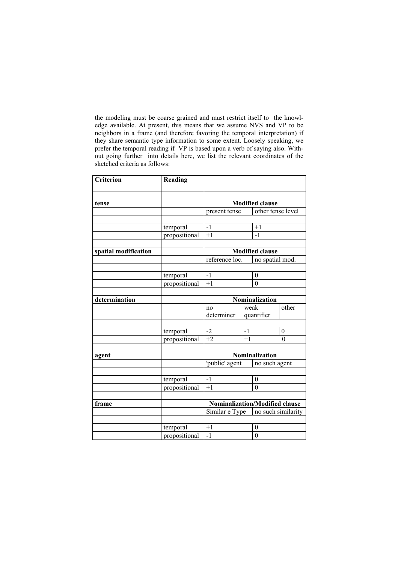the modeling must be coarse grained and must restrict itself to the knowledge available. At present, this means that we assume NVS and VP to be neighbors in a frame (and therefore favoring the temporal interpretation) if they share semantic type information to some extent. Loosely speaking, we prefer the temporal reading if VP is based upon a verb of saying also. Without going further into details here, we list the relevant coordinates of the sketched criteria as follows:

| <b>Criterion</b>     | Reading       |                                       |      |                        |                    |
|----------------------|---------------|---------------------------------------|------|------------------------|--------------------|
|                      |               |                                       |      |                        |                    |
| tense                |               | <b>Modified clause</b>                |      |                        |                    |
|                      |               | present tense                         |      | other tense level      |                    |
|                      |               |                                       |      |                        |                    |
|                      | temporal      | $-1$                                  |      | $+1$                   |                    |
|                      | propositional | $+1$                                  |      | $-1$                   |                    |
|                      |               |                                       |      |                        |                    |
| spatial modification |               |                                       |      | <b>Modified clause</b> |                    |
|                      |               | reference loc.                        |      | no spatial mod.        |                    |
|                      |               |                                       |      |                        |                    |
|                      | temporal      | $-1$                                  |      | $\boldsymbol{0}$       |                    |
|                      | propositional | $+1$                                  |      | $\theta$               |                    |
|                      |               |                                       |      |                        |                    |
| determination        |               |                                       |      | Nominalization         |                    |
|                      |               | no                                    | weak |                        | other              |
|                      |               | determiner                            |      | quantifier             |                    |
|                      |               |                                       |      |                        |                    |
|                      | temporal      | $-2$                                  | $-1$ |                        | $\theta$           |
|                      | propositional | $+2$                                  | $+1$ |                        | $\overline{0}$     |
|                      |               |                                       |      |                        |                    |
| agent                |               | Nominalization                        |      |                        |                    |
|                      |               | 'public' agent                        |      | no such agent          |                    |
|                      |               |                                       |      |                        |                    |
|                      | temporal      | $-1$                                  |      | $\boldsymbol{0}$       |                    |
|                      | propositional | $+1$                                  |      | $\overline{0}$         |                    |
|                      |               |                                       |      |                        |                    |
| frame                |               | <b>Nominalization/Modified clause</b> |      |                        |                    |
|                      |               | Similar e Type                        |      |                        | no such similarity |
|                      | temporal      | $+1$                                  |      | $\boldsymbol{0}$       |                    |
|                      | propositional | $-1$                                  |      | $\mathbf{0}$           |                    |
|                      |               |                                       |      |                        |                    |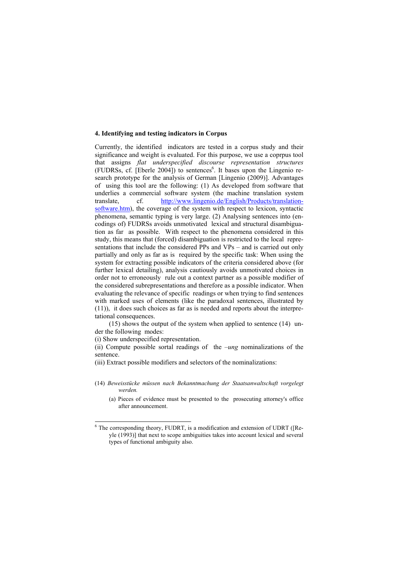#### 4. Identifying and testing indicators in Corpus

Currently, the identified indicators are tested in a corpus study and their significance and weight is evaluated. For this purpose, we use a coprpus tool that assigns flat underspecified discourse representation structures (FUDRSs, cf. [Eberle 2004]) to sentences<sup>6</sup>. It bases upon the Lingenio research prototype for the analysis of German [Lingenio (2009)]. Advantages of using this tool are the following: (1) As developed from software that underlies a commercial software system (the machine translation system translate, cf. http://www.lingenio.de/English/Products/translationsoftware.htm), the coverage of the system with respect to lexicon, syntactic phenomena, semantic typing is very large. (2) Analysing sentences into (encodings of) FUDRSs avoids unmotivated lexical and structural disambiguation as far as possible. With respect to the phenomena considered in this study, this means that (forced) disambiguation is restricted to the local representations that include the considered PPs and VPs – and is carried out only partially and only as far as is required by the specific task: When using the system for extracting possible indicators of the criteria considered above (for further lexical detailing), analysis cautiously avoids unmotivated choices in order not to erroneously rule out a context partner as a possible modifier of the considered subrepresentations and therefore as a possible indicator. When evaluating the relevance of specific readings or when trying to find sentences with marked uses of elements (like the paradoxal sentences, illustrated by (11)), it does such choices as far as is needed and reports about the interpretational consequences.

(15) shows the output of the system when applied to sentence (14) under the following modes:

(i) Show underspecified representation.

(ii) Compute possible sortal readings of the  $-\mu ng$  nominalizations of the sentence.

(iii) Extract possible modifiers and selectors of the nominalizations:

- (14) Beweisstücke müssen nach Bekanntmachung der Staatsanwaltschaft vorgelegt werden.
	- (a) Pieces of evidence must be presented to the prosecuting attorney's office after announcement.

 6 The corresponding theory, FUDRT, is a modification and extension of UDRT ([Reyle (1993)] that next to scope ambiguities takes into account lexical and several types of functional ambiguity also.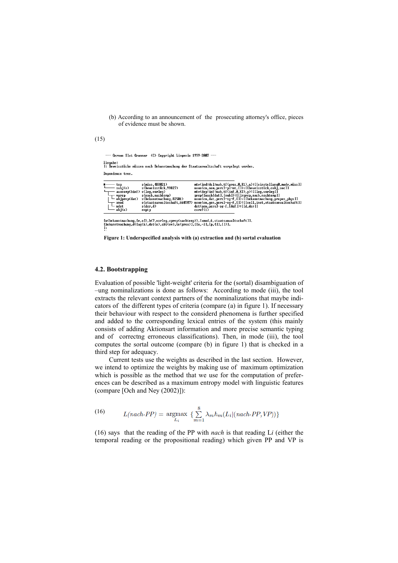(b) According to an announcement of the prosecuting attorney's office, pieces of evidence must be shown.

 $(15)$ 

--- German Slot Grammar (C) Copyright Lingenio 1999-2007 ---Eingabe:<br>¦: Beweisstücke müssen nach Bekanntmachung der Staatsanwaltschaft vorgelegt werden.

Dependence tree.

| top<br>$\longleftarrow$ subj $\langle n \rangle$<br>vprep<br>— xmod<br>ndet<br>— obj(n) | s(müss.488021)<br>s(beweisstück.99827)<br>s(nach.nachtemp)<br>$-$ objprep(dat) s(bekanntmachung, 82501)<br>s(der.d)<br>empty | ntv(ind:dcl:nuh.tf(pres.0.X1).a):[[einstellung0.modv.müss]]<br>noun(cn,nom,pers3-pl-nt,[]):[[beweisstück.cob],soc]]<br>ntv(dep:inf:nwh.tf(inf.0.X2).p):[[leq.vorleq]]<br>prep([nachidat],[nwh]):[[lrprep.nach.nachtemp]]<br>noun(cn.dat.pers3-sg-f.[]):[[bekanntmachung.propos_phys]]<br>s(staatsanwaltschaft,660707) noun(cn,gen,pers3-sg-f,[]):[[coll,inst,staatsanwaltschaft]]<br>det(gen.pers3-sg-f.Idefl):IId.derll<br>coref(1) |
|-----------------------------------------------------------------------------------------|------------------------------------------------------------------------------------------------------------------------------|--------------------------------------------------------------------------------------------------------------------------------------------------------------------------------------------------------------------------------------------------------------------------------------------------------------------------------------------------------------------------------------------------------------------------------------|
|                                                                                         |                                                                                                                              |                                                                                                                                                                                                                                                                                                                                                                                                                                      |

[n(bekanntmachung,[e,o]),h(7,vorleg,vprep(nachtemp)),[xmod,6,staatsanwaltschaft]].<br>[bekanntmachung,d([ag(6),det(e),akt(ev),te(pres)],[[e,-3],[p,4]],[])].

Figure 1: Underspecified analysis with (a) extraction and (b) sortal evaluation

#### 4.2. Bootstrapping

Evaluation of possible 'light-weight' criteria for the (sortal) disambiguation of –ung nominalizations is done as follows: According to mode (iii), the tool extracts the relevant context partners of the nominalizations that maybe indicators of the different types of criteria (compare (a) in figure 1). If necessary their behaviour with respect to the considerd phenomena is further specified and added to the corresponding lexical entries of the system (this mainly consists of adding Aktionsart information and more precise semantic typing and of correctng erroneous classifications). Then, in mode (iii), the tool computes the sortal outcome (compare (b) in figure 1) that is checked in a third step for adequacy.

Current tests use the weights as described in the last section. However, we intend to optimize the weights by making use of maximum optimization which is possible as the method that we use for the computation of preferences can be described as a maximum entropy model with linguistic features (compare [Och and Ney (2002)]):

(16) 
$$
L(nach-PP) = \underset{L_i}{\text{argmax}} \left\{ \sum_{m=1}^{8} \lambda_m h_m(L_i | (nach-PP, VP)) \right\}
$$

(16) says that the reading of the PP with *nach* is that reading  $Li$  (either the temporal reading or the propositional reading) which given PP and VP is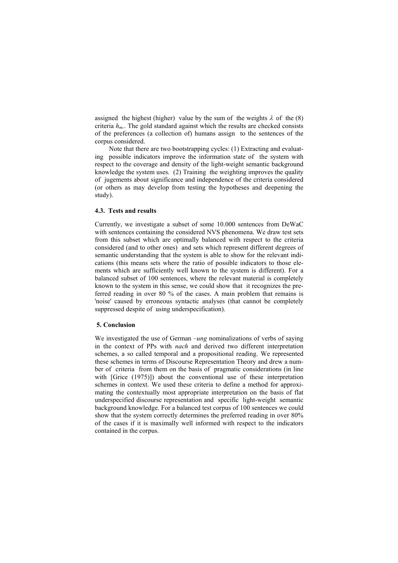assigned the highest (higher) value by the sum of the weights  $\lambda$  of the (8) criteria  $h_{m}$ . The gold standard against which the results are checked consists of the preferences (a collection of) humans assign to the sentences of the corpus considered.

Note that there are two bootstrapping cycles: (1) Extracting and evaluating possible indicators improve the information state of the system with respect to the coverage and density of the light-weight semantic background knowledge the system uses. (2) Training the weighting improves the quality of jugements about significance and independence of the criteria considered (or others as may develop from testing the hypotheses and deepening the study).

## 4.3. Tests and results

Currently, we investigate a subset of some 10.000 sentences from DeWaC with sentences containing the considered NVS phenomena. We draw test sets from this subset which are optimally balanced with respect to the criteria considered (and to other ones) and sets which represent different degrees of semantic understanding that the system is able to show for the relevant indications (this means sets where the ratio of possible indicators to those elements which are sufficiently well known to the system is different). For a balanced subset of 100 sentences, where the relevant material is completely known to the system in this sense, we could show that it recognizes the preferred reading in over 80 % of the cases. A main problem that remains is 'noise' caused by erroneous syntactic analyses (that cannot be completely suppressed despite of using underspecification).

## 5. Conclusion

We investigated the use of German  $-\mu n$ g nominalizations of verbs of saying in the context of PPs with nach and derived two different interpretation schemes, a so called temporal and a propositional reading. We represented these schemes in terms of Discourse Representation Theory and drew a number of criteria from them on the basis of pragmatic considerations (in line with [Grice (1975)]) about the conventional use of these interpretation schemes in context. We used these criteria to define a method for approximating the contextually most appropriate interpretation on the basis of flat underspecified discourse representation and specific light-weight semantic background knowledge. For a balanced test corpus of 100 sentences we could show that the system correctly determines the preferred reading in over 80% of the cases if it is maximally well informed with respect to the indicators contained in the corpus.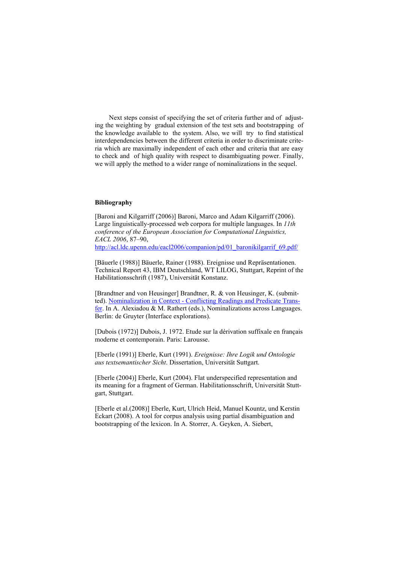Next steps consist of specifying the set of criteria further and of adjusting the weighting by gradual extension of the test sets and bootstrapping of the knowledge available to the system. Also, we will try to find statistical interdependencies between the different criteria in order to discriminate criteria which are maximally independent of each other and criteria that are easy to check and of high quality with respect to disambiguating power. Finally, we will apply the method to a wider range of nominalizations in the sequel.

## Bibliography

[Baroni and Kilgarriff (2006)] Baroni, Marco and Adam Kilgarriff (2006). Large linguistically-processed web corpora for multiple languages. In 11th conference of the European Association for Computational Linguistics, EACL 2006, 87–90, http://acl.ldc.upenn.edu/eacl2006/companion/pd/01\_baronikilgarrif\_69.pdf/

[Bäuerle (1988)] Bäuerle, Rainer (1988). Ereignisse und Repräsentationen. Technical Report 43, IBM Deutschland, WT LILOG, Stuttgart, Reprint of the Habilitationsschrift (1987), Universität Konstanz.

[Brandtner and von Heusinger] Brandtner, R. & von Heusinger, K. (submitted). Nominalization in Context - Conflicting Readings and Predicate Transfer. In A. Alexiadou & M. Rathert (eds.), Nominalizations across Languages. Berlin: de Gruyter (Interface explorations).

[Dubois (1972)] Dubois, J. 1972. Etude sur la dérivation suffixale en français moderne et contemporain. Paris: Larousse.

[Eberle (1991)] Eberle, Kurt (1991). Ereignisse: Ihre Logik und Ontologie aus textsemantischer Sicht. Dissertation, Universität Suttgart.

[Eberle (2004)] Eberle, Kurt (2004). Flat underspecified representation and its meaning for a fragment of German. Habilitationsschrift, Universität Stuttgart, Stuttgart.

[Eberle et al.(2008)] Eberle, Kurt, Ulrich Heid, Manuel Kountz, und Kerstin Eckart (2008). A tool for corpus analysis using partial disambiguation and bootstrapping of the lexicon. In A. Storrer, A. Geyken, A. Siebert,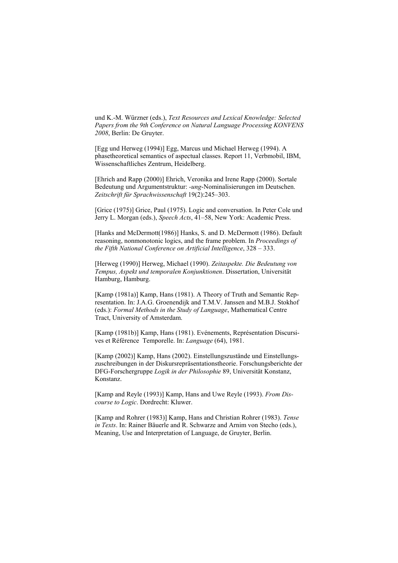und K.-M. Würzner (eds.), Text Resources and Lexical Knowledge: Selected Papers from the 9th Conference on Natural Language Processing KONVENS 2008, Berlin: De Gruyter.

[Egg und Herweg (1994)] Egg, Marcus und Michael Herweg (1994). A phasetheoretical semantics of aspectual classes. Report 11, Verbmobil, IBM, Wissenschaftliches Zentrum, Heidelberg.

[Ehrich and Rapp (2000)] Ehrich, Veronika and Irene Rapp (2000). Sortale Bedeutung und Argumentstruktur: -ung-Nominalisierungen im Deutschen. Zeitschrift für Sprachwissenschaft 19(2):245–303.

[Grice (1975)] Grice, Paul (1975). Logic and conversation. In Peter Cole und Jerry L. Morgan (eds.), Speech Acts, 41–58, New York: Academic Press.

[Hanks and McDermott(1986)] Hanks, S. and D. McDermott (1986). Default reasoning, nonmonotonic logics, and the frame problem. In Proceedings of the Fifth National Conference on Artificial Intelligence, 328 – 333.

[Herweg (1990)] Herweg, Michael (1990). Zeitaspekte. Die Bedeutung von Tempus, Aspekt und temporalen Konjunktionen. Dissertation, Universität Hamburg, Hamburg.

[Kamp (1981a)] Kamp, Hans (1981). A Theory of Truth and Semantic Representation. In: J.A.G. Groenendijk and T.M.V. Janssen and M.B.J. Stokhof (eds.): Formal Methods in the Study of Language, Mathematical Centre Tract, University of Amsterdam.

[Kamp (1981b)] Kamp, Hans (1981). Evénements, Représentation Discursives et Référence Temporelle. In: Language (64), 1981.

[Kamp (2002)] Kamp, Hans (2002). Einstellungszustände und Einstellungszuschreibungen in der Diskursrepräsentationstheorie. Forschungsberichte der DFG-Forschergruppe Logik in der Philosophie 89, Universität Konstanz, Konstanz.

[Kamp and Reyle (1993)] Kamp, Hans and Uwe Reyle (1993). From Discourse to Logic. Dordrecht: Kluwer.

[Kamp and Rohrer (1983)] Kamp, Hans and Christian Rohrer (1983). Tense in Texts. In: Rainer Bäuerle and R. Schwarze and Arnim von Stecho (eds.), Meaning, Use and Interpretation of Language, de Gruyter, Berlin.